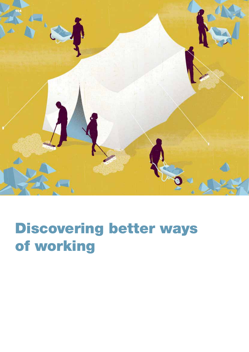

## Discovering better ways of working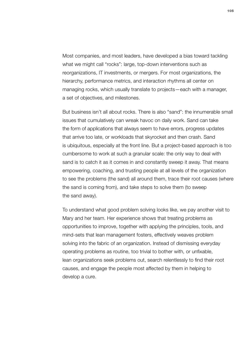Most companies, and most leaders, have developed a bias toward tackling what we might call "rocks": large, top-down interventions such as reorganizations, IT investments, or mergers. For most organizations, the hierarchy, performance metrics, and interaction rhythms all center on managing rocks, which usually translate to projects—each with a manager, a set of objectives, and milestones.

But business isn't all about rocks. There is also "sand": the innumerable small issues that cumulatively can wreak havoc on daily work. Sand can take the form of applications that always seem to have errors, progress updates that arrive too late, or workloads that skyrocket and then crash. Sand is ubiquitous, especially at the front line. But a project-based approach is too cumbersome to work at such a granular scale: the only way to deal with sand is to catch it as it comes in and constantly sweep it away. That means empowering, coaching, and trusting people at all levels of the organization to see the problems (the sand) all around them, trace their root causes (where the sand is coming from), and take steps to solve them (to sweep the sand away).

To understand what good problem solving looks like, we pay another visit to Mary and her team. Her experience shows that treating problems as opportunities to improve, together with applying the principles, tools, and mind-sets that lean management fosters, effectively weaves problem solving into the fabric of an organization. Instead of dismissing everyday operating problems as routine, too trivial to bother with, or unfixable, lean organizations seek problems out, search relentlessly to find their root causes, and engage the people most affected by them in helping to develop a cure.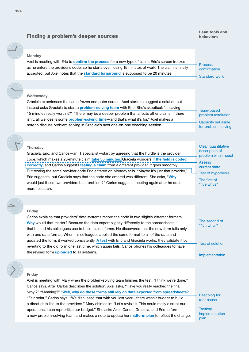## Finding a problem's deeper sources

## Lean tools and behaviors

| <b>Monday</b><br>Axel is meeting with Eric to confirm the process for a new type of claim. Eric's screen freezes<br>as he enters the provider's code, so he starts over, losing 15 minutes of work. The claim is finally<br>accepted, but Axel notes that the standard turnaround is supposed to be 20 minutes.                                                                                                                                                                                                                                                                                                                                                                                                            | <b>Process</b><br>confirmation<br><b>Standard work</b>                                                                                              |
|----------------------------------------------------------------------------------------------------------------------------------------------------------------------------------------------------------------------------------------------------------------------------------------------------------------------------------------------------------------------------------------------------------------------------------------------------------------------------------------------------------------------------------------------------------------------------------------------------------------------------------------------------------------------------------------------------------------------------|-----------------------------------------------------------------------------------------------------------------------------------------------------|
|                                                                                                                                                                                                                                                                                                                                                                                                                                                                                                                                                                                                                                                                                                                            |                                                                                                                                                     |
| Wednesday<br>Graciela experiences the same frozen computer screen. Axel starts to suggest a solution but<br>instead asks Graciela to start a problem-solving team with Eric. She's skeptical: "Is saving<br>15 minutes really worth it?" "There may be a deeper problem that affects other claims. If there<br>isn't, all we lose is some problem-solving time-and that's what it's for." Axel makes a<br>note to discuss problem solving in Graciela's next one-on-one coaching session.                                                                                                                                                                                                                                  | <b>Team-based</b><br>problem resolution<br>Capacity set aside<br>for problem solving                                                                |
|                                                                                                                                                                                                                                                                                                                                                                                                                                                                                                                                                                                                                                                                                                                            |                                                                                                                                                     |
| <b>Thursday</b><br>Graciela, Eric, and Carlos - an IT specialist - start by agreeing that the hurdle is the provider<br>code, which makes a 20-minute claim take 35 minutes. Graciela wonders if the field is coded<br>correctly, and Carlos suggests testing a claim from a different provider. It goes smoothly.<br>But testing the same provider code Eric entered on Monday fails. "Maybe it's just that provider,"<br>Eric suggests, but Graciela says that the code she entered was different. She asks, "Why<br>would just these two providers be a problem?" Carlos suggests meeting again after he does<br>more research.                                                                                         | Clear, quantitative<br>description of<br>problem with impact<br><b>Assess</b><br>current state<br>Test of hypothesis<br>The first of<br>"five whys" |
|                                                                                                                                                                                                                                                                                                                                                                                                                                                                                                                                                                                                                                                                                                                            |                                                                                                                                                     |
| Friday<br>Carlos explains that providers' data systems record the code in two slightly different formats.<br>Why would that matter? Because the data export slightly differently to the spreadsheets<br>that he and his colleagues use to build claims forms. He discovered that the new form fails only<br>with one data format. When his colleagues applied the same format to all of the data and<br>updated the form, it worked consistently. A test with Eric and Graciela works; they validate it by<br>reverting to the old form one last time, which again fails. Carlos phones his colleagues to have<br>the revised form <i>uploaded</i> to all systems.                                                         | The second of<br>"five whys"<br><b>Test of solution</b><br>Implementation                                                                           |
| Friday<br>Axel is meeting with Mary when the problem-solving team finishes the test. "I think we're done,"<br>Carlos says. After Carlos describes the solution, Axel asks, "Have you really reached the final<br>'why'?" "Meaning?" "Well, why do these forms still rely on data exported from spreadsheets?"<br>"Fair point," Carlos says. "We discussed that with you last year-there wasn't budget to build<br>a direct data link to the providers." Mary chimes in: "Let's revisit it. This could really disrupt our<br>operations. I can reprioritize our budget." She asks Axel, Carlos, Graciela, and Eric to form<br>a new problem-solving team and makes a note to update her midterm plan to reflect the change. | <b>Reaching for</b><br>root cause<br><b>Tactical</b><br>implementation<br>plan                                                                      |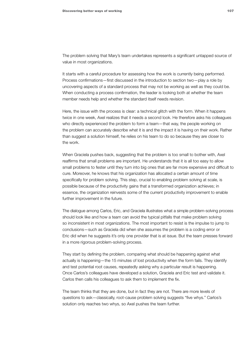The problem solving that Mary's team undertakes represents a significant untapped source of value in most organizations.

It starts with a careful procedure for assessing how the work is currently being performed. Process confirmations—first discussed in the introduction to section two—play a role by uncovering aspects of a standard process that may not be working as well as they could be. When conducting a process confirmation, the leader is looking both at whether the team member needs help and whether the standard itself needs revision.

Here, the issue with the process is clear: a technical glitch with the form. When it happens twice in one week, Axel realizes that it needs a second look. He therefore asks his colleagues who directly experienced the problem to form a team—that way, the people working on the problem can accurately describe what it is and the impact it is having on their work. Rather than suggest a solution himself, he relies on his team to do so because they are closer to the work.

When Graciela pushes back, suggesting that the problem is too small to bother with, Axel reaffirms that small problems are important. He understands that it is all too easy to allow small problems to fester until they turn into big ones that are far more expensive and difficult to cure. Moreover, he knows that his organization has allocated a certain amount of time specifically for problem solving. This step, crucial to enabling problem solving at scale, is possible because of the productivity gains that a transformed organization achieves; in essence, the organization reinvests some of the current productivity improvement to enable further improvement in the future.

The dialogue among Carlos, Eric, and Graciela illustrates what a simple problem-solving process should look like and how a team can avoid the typical pitfalls that make problem solving so inconsistent in most organizations. The most important to resist is the impulse to jump to conclusions—such as Graciela did when she assumes the problem is a coding error or Eric did when he suggests it's only one provider that is at issue. But the team presses forward in a more rigorous problem-solving process.

They start by defining the problem, comparing what should be happening against what actually is happening—the 15 minutes of lost productivity when the form fails. They identify and test potential root causes, repeatedly asking why a particular result is happening. Once Carlos's colleagues have developed a solution, Graciela and Eric test and validate it. Carlos then calls his colleagues to ask them to implement the fix.

The team thinks that they are done, but in fact they are not. There are more levels of questions to ask—classically, root-cause problem solving suggests "five whys." Carlos's solution only reaches two whys, so Axel pushes the team further.